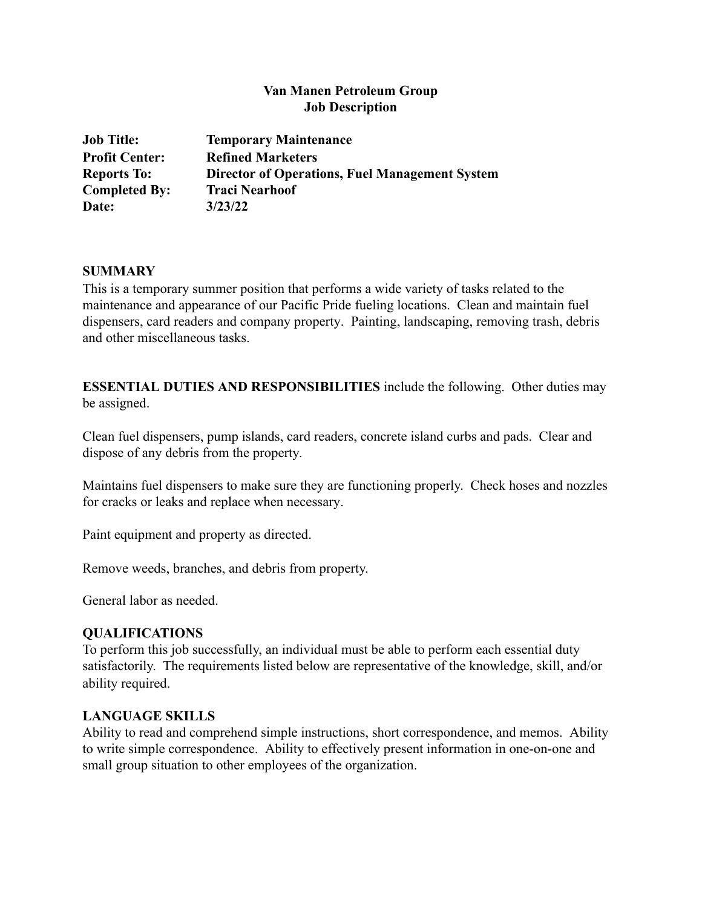# **Van Manen Petroleum Group Job Description**

| <b>Job Title:</b>     | <b>Temporary Maintenance</b>                          |
|-----------------------|-------------------------------------------------------|
| <b>Profit Center:</b> | <b>Refined Marketers</b>                              |
| <b>Reports To:</b>    | <b>Director of Operations, Fuel Management System</b> |
| <b>Completed By:</b>  | <b>Traci Nearhoof</b>                                 |
| Date:                 | 3/23/22                                               |

#### **SUMMARY**

This is a temporary summer position that performs a wide variety of tasks related to the maintenance and appearance of our Pacific Pride fueling locations. Clean and maintain fuel dispensers, card readers and company property. Painting, landscaping, removing trash, debris and other miscellaneous tasks.

**ESSENTIAL DUTIES AND RESPONSIBILITIES** include the following. Other duties may be assigned.

Clean fuel dispensers, pump islands, card readers, concrete island curbs and pads. Clear and dispose of any debris from the property*.*

Maintains fuel dispensers to make sure they are functioning properly. Check hoses and nozzles for cracks or leaks and replace when necessary.

Paint equipment and property as directed.

Remove weeds, branches, and debris from property.

General labor as needed.

#### **QUALIFICATIONS**

To perform this job successfully, an individual must be able to perform each essential duty satisfactorily. The requirements listed below are representative of the knowledge, skill, and/or ability required.

#### **LANGUAGE SKILLS**

Ability to read and comprehend simple instructions, short correspondence, and memos. Ability to write simple correspondence. Ability to effectively present information in one-on-one and small group situation to other employees of the organization.